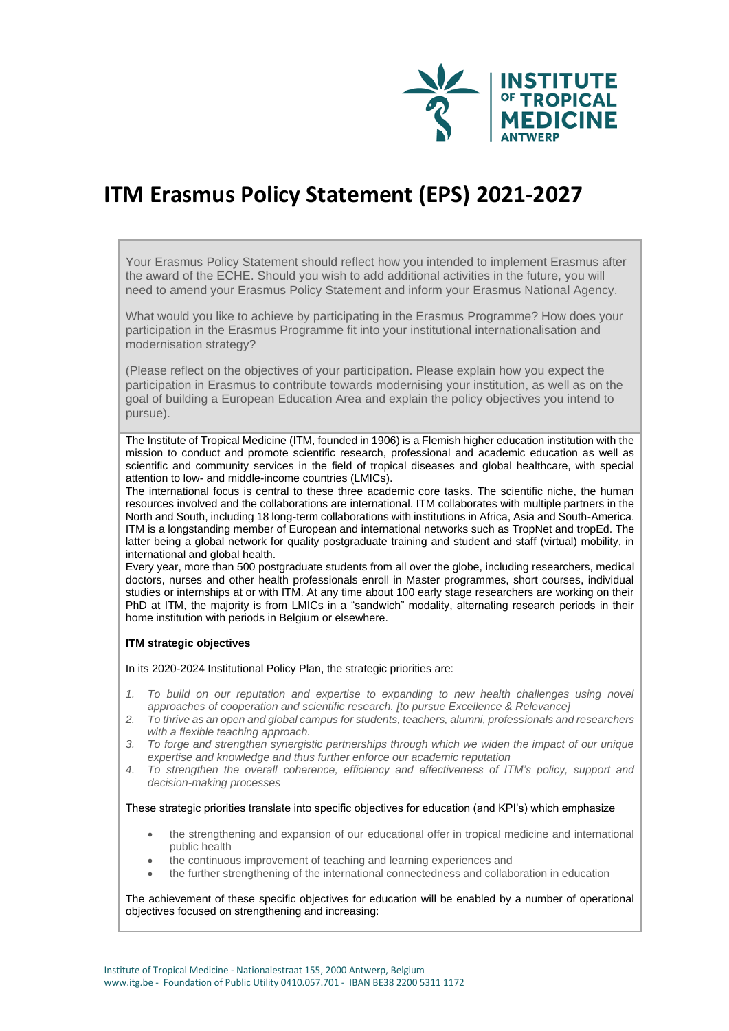

# **ITM Erasmus Policy Statement (EPS) 2021-2027**

Your Erasmus Policy Statement should reflect how you intended to implement Erasmus after the award of the ECHE. Should you wish to add additional activities in the future, you will need to amend your Erasmus Policy Statement and inform your Erasmus National Agency.

What would you like to achieve by participating in the Erasmus Programme? How does your participation in the Erasmus Programme fit into your institutional internationalisation and modernisation strategy?

(Please reflect on the objectives of your participation. Please explain how you expect the participation in Erasmus to contribute towards modernising your institution, as well as on the goal of building a European Education Area and explain the policy objectives you intend to pursue).

The Institute of Tropical Medicine (ITM, founded in 1906) is a Flemish higher education institution with the mission to conduct and promote scientific research, professional and academic education as well as scientific and community services in the field of tropical diseases and global healthcare, with special attention to low- and middle-income countries (LMICs).

The international focus is central to these three academic core tasks. The scientific niche, the human resources involved and the collaborations are international. ITM collaborates with multiple partners in the North and South, including 18 long-term collaborations with institutions in Africa, Asia and South-America. ITM is a longstanding member of European and international networks such as TropNet and tropEd. The latter being a global network for quality postgraduate training and student and staff (virtual) mobility, in international and global health.

Every year, more than 500 postgraduate students from all over the globe, including researchers, medical doctors, nurses and other health professionals enroll in Master programmes, short courses, individual studies or internships at or with ITM. At any time about 100 early stage researchers are working on their PhD at ITM, the majority is from LMICs in a "sandwich" modality, alternating research periods in their home institution with periods in Belgium or elsewhere.

# **ITM strategic objectives**

In its 2020-2024 Institutional Policy Plan, the strategic priorities are:

- *1. To build on our reputation and expertise to expanding to new health challenges using novel approaches of cooperation and scientific research. [to pursue Excellence & Relevance]*
- *2. To thrive as an open and global campus for students, teachers, alumni, professionals and researchers with a flexible teaching approach.*
- *3. To forge and strengthen synergistic partnerships through which we widen the impact of our unique expertise and knowledge and thus further enforce our academic reputation*
- *4. To strengthen the overall coherence, efficiency and effectiveness of ITM's policy, support and decision-making processes*

## These strategic priorities translate into specific objectives for education (and KPI's) which emphasize

- the strengthening and expansion of our educational offer in tropical medicine and international public health
- the continuous improvement of teaching and learning experiences and
- the further strengthening of the international connectedness and collaboration in education

The achievement of these specific objectives for education will be enabled by a number of operational objectives focused on strengthening and increasing: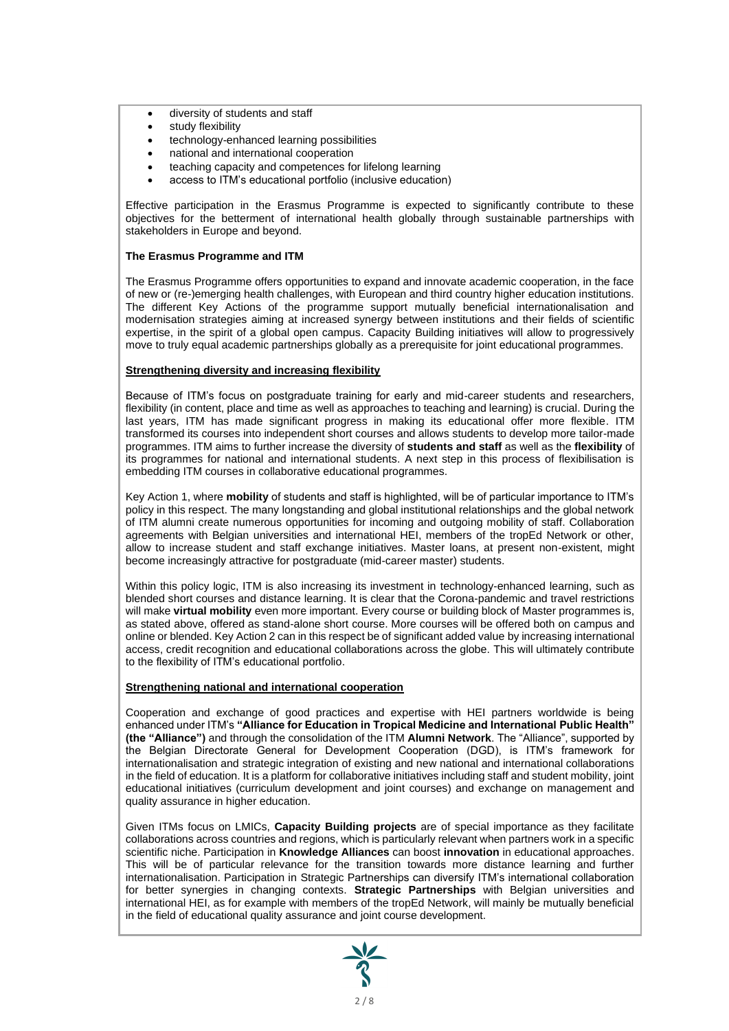- diversity of students and staff
- study flexibility
- technology-enhanced learning possibilities
- national and international cooperation
- teaching capacity and competences for lifelong learning
- access to ITM's educational portfolio (inclusive education)

Effective participation in the Erasmus Programme is expected to significantly contribute to these objectives for the betterment of international health globally through sustainable partnerships with stakeholders in Europe and beyond.

## **The Erasmus Programme and ITM**

The Erasmus Programme offers opportunities to expand and innovate academic cooperation, in the face of new or (re-)emerging health challenges, with European and third country higher education institutions. The different Key Actions of the programme support mutually beneficial internationalisation and modernisation strategies aiming at increased synergy between institutions and their fields of scientific expertise, in the spirit of a global open campus. Capacity Building initiatives will allow to progressively move to truly equal academic partnerships globally as a prerequisite for joint educational programmes.

## **Strengthening diversity and increasing flexibility**

Because of ITM's focus on postgraduate training for early and mid-career students and researchers, flexibility (in content, place and time as well as approaches to teaching and learning) is crucial. During the last years, ITM has made significant progress in making its educational offer more flexible. ITM transformed its courses into independent short courses and allows students to develop more tailor-made programmes. ITM aims to further increase the diversity of **students and staff** as well as the **flexibility** of its programmes for national and international students. A next step in this process of flexibilisation is embedding ITM courses in collaborative educational programmes.

Key Action 1, where **mobility** of students and staff is highlighted, will be of particular importance to ITM's policy in this respect. The many longstanding and global institutional relationships and the global network of ITM alumni create numerous opportunities for incoming and outgoing mobility of staff. Collaboration agreements with Belgian universities and international HEI, members of the tropEd Network or other, allow to increase student and staff exchange initiatives. Master loans, at present non-existent, might become increasingly attractive for postgraduate (mid-career master) students.

Within this policy logic, ITM is also increasing its investment in technology-enhanced learning, such as blended short courses and distance learning. It is clear that the Corona-pandemic and travel restrictions will make **virtual mobility** even more important. Every course or building block of Master programmes is, as stated above, offered as stand-alone short course. More courses will be offered both on campus and online or blended. Key Action 2 can in this respect be of significant added value by increasing international access, credit recognition and educational collaborations across the globe. This will ultimately contribute to the flexibility of ITM's educational portfolio.

## **Strengthening national and international cooperation**

Cooperation and exchange of good practices and expertise with HEI partners worldwide is being enhanced under ITM's **"Alliance for Education in Tropical Medicine and International Public Health" (the "Alliance")** and through the consolidation of the ITM **Alumni Network**. The "Alliance", supported by the Belgian Directorate General for Development Cooperation (DGD), is ITM's framework for internationalisation and strategic integration of existing and new national and international collaborations in the field of education. It is a platform for collaborative initiatives including staff and student mobility, joint educational initiatives (curriculum development and joint courses) and exchange on management and quality assurance in higher education.

Given ITMs focus on LMICs, **Capacity Building projects** are of special importance as they facilitate collaborations across countries and regions, which is particularly relevant when partners work in a specific scientific niche. Participation in **Knowledge Alliances** can boost **innovation** in educational approaches. This will be of particular relevance for the transition towards more distance learning and further internationalisation. Participation in Strategic Partnerships can diversify ITM's international collaboration for better synergies in changing contexts. **Strategic Partnerships** with Belgian universities and international HEI, as for example with members of the tropEd Network, will mainly be mutually beneficial in the field of educational quality assurance and joint course development.

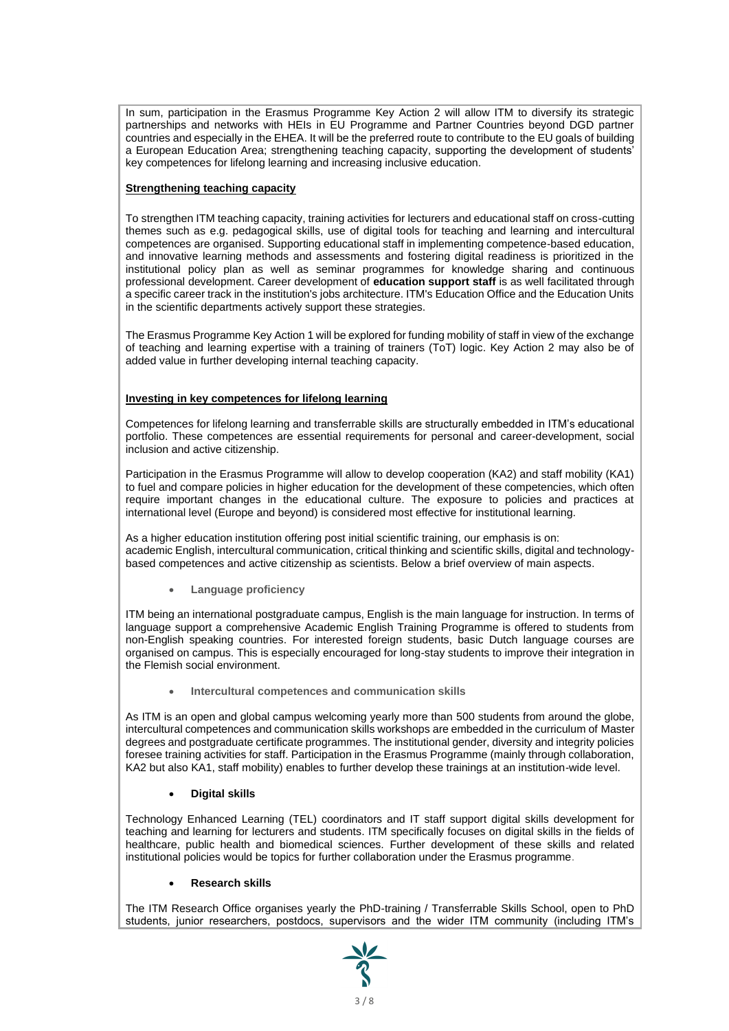In sum, participation in the Erasmus Programme Key Action 2 will allow ITM to diversify its strategic partnerships and networks with HEIs in EU Programme and Partner Countries beyond DGD partner countries and especially in the EHEA. It will be the preferred route to contribute to the EU goals of building a European Education Area; strengthening teaching capacity, supporting the development of students' key competences for lifelong learning and increasing inclusive education.

# **Strengthening teaching capacity**

To strengthen ITM teaching capacity, training activities for lecturers and educational staff on cross-cutting themes such as e.g. pedagogical skills, use of digital tools for teaching and learning and intercultural competences are organised. Supporting educational staff in implementing competence-based education, and innovative learning methods and assessments and fostering digital readiness is prioritized in the institutional policy plan as well as seminar programmes for knowledge sharing and continuous professional development. Career development of **education support staff** is as well facilitated through a specific career track in the institution's jobs architecture. ITM's Education Office and the Education Units in the scientific departments actively support these strategies.

The Erasmus Programme Key Action 1 will be explored for funding mobility of staff in view of the exchange of teaching and learning expertise with a training of trainers (ToT) logic. Key Action 2 may also be of added value in further developing internal teaching capacity.

# **Investing in key competences for lifelong learning**

Competences for lifelong learning and transferrable skills are structurally embedded in ITM's educational portfolio. These competences are essential requirements for personal and career-development, social inclusion and active citizenship.

Participation in the Erasmus Programme will allow to develop cooperation (KA2) and staff mobility (KA1) to fuel and compare policies in higher education for the development of these competencies, which often require important changes in the educational culture. The exposure to policies and practices at international level (Europe and beyond) is considered most effective for institutional learning.

As a higher education institution offering post initial scientific training, our emphasis is on: academic English, intercultural communication, critical thinking and scientific skills, digital and technologybased competences and active citizenship as scientists. Below a brief overview of main aspects.

• **Language proficiency**

ITM being an international postgraduate campus, English is the main language for instruction. In terms of language support a comprehensive Academic English Training Programme is offered to students from non-English speaking countries. For interested foreign students, basic Dutch language courses are organised on campus. This is especially encouraged for long-stay students to improve their integration in the Flemish social environment.

• **Intercultural competences and communication skills**

As ITM is an open and global campus welcoming yearly more than 500 students from around the globe, intercultural competences and communication skills workshops are embedded in the curriculum of Master degrees and postgraduate certificate programmes. The institutional gender, diversity and integrity policies foresee training activities for staff. Participation in the Erasmus Programme (mainly through collaboration, KA2 but also KA1, staff mobility) enables to further develop these trainings at an institution-wide level.

# • **Digital skills**

Technology Enhanced Learning (TEL) coordinators and IT staff support digital skills development for teaching and learning for lecturers and students. ITM specifically focuses on digital skills in the fields of healthcare, public health and biomedical sciences. Further development of these skills and related institutional policies would be topics for further collaboration under the Erasmus programme.

## • **Research skills**

The ITM Research Office organises yearly the PhD-training / Transferrable Skills School, open to PhD students, junior researchers, postdocs, supervisors and the wider ITM community (including ITM's

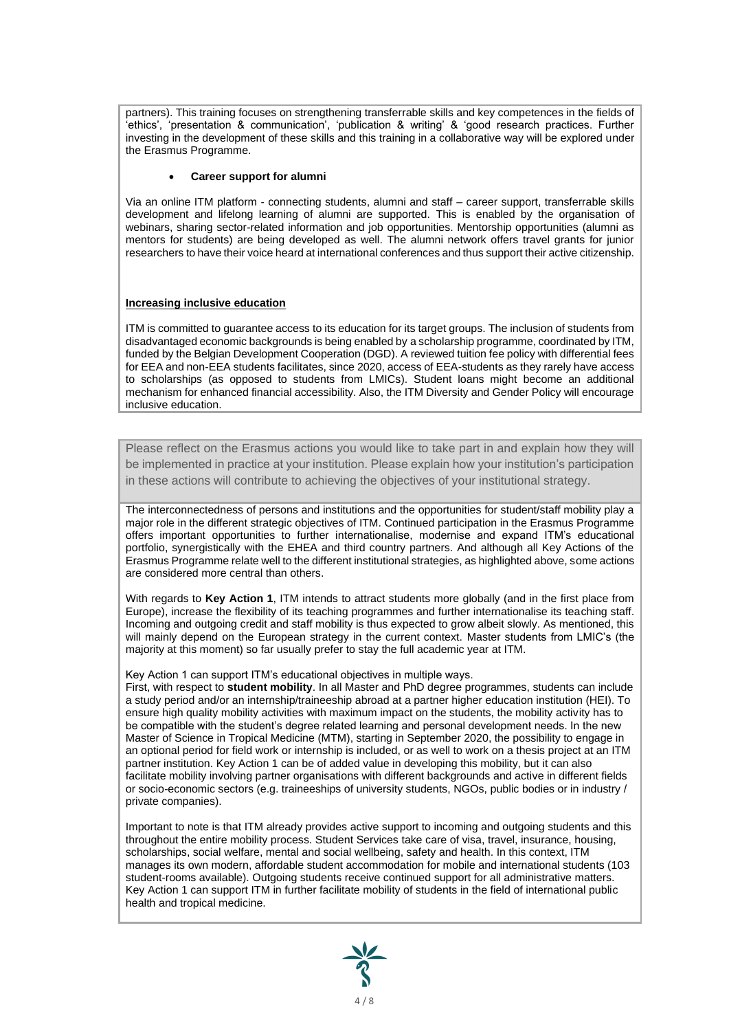partners). This training focuses on strengthening transferrable skills and key competences in the fields of 'ethics', 'presentation & communication', 'publication & writing' & 'good research practices. Further investing in the development of these skills and this training in a collaborative way will be explored under the Erasmus Programme.

## • **Career support for alumni**

Via an online ITM platform - connecting students, alumni and staff – career support, transferrable skills development and lifelong learning of alumni are supported. This is enabled by the organisation of webinars, sharing sector-related information and job opportunities. Mentorship opportunities (alumni as mentors for students) are being developed as well. The alumni network offers travel grants for junior researchers to have their voice heard at international conferences and thus support their active citizenship.

## **Increasing inclusive education**

ITM is committed to guarantee access to its education for its target groups. The inclusion of students from disadvantaged economic backgrounds is being enabled by a scholarship programme, coordinated by ITM, funded by the Belgian Development Cooperation (DGD). A reviewed tuition fee policy with differential fees for EEA and non-EEA students facilitates, since 2020, access of EEA-students as they rarely have access to scholarships (as opposed to students from LMICs). Student loans might become an additional mechanism for enhanced financial accessibility. Also, the ITM Diversity and Gender Policy will encourage inclusive education.

Please reflect on the Erasmus actions you would like to take part in and explain how they will be implemented in practice at your institution. Please explain how your institution's participation in these actions will contribute to achieving the objectives of your institutional strategy.

The interconnectedness of persons and institutions and the opportunities for student/staff mobility play a major role in the different strategic objectives of ITM. Continued participation in the Erasmus Programme offers important opportunities to further internationalise, modernise and expand ITM's educational portfolio, synergistically with the EHEA and third country partners. And although all Key Actions of the Erasmus Programme relate well to the different institutional strategies, as highlighted above, some actions are considered more central than others.

With regards to **Key Action 1**. ITM intends to attract students more globally (and in the first place from Europe), increase the flexibility of its teaching programmes and further internationalise its teaching staff. Incoming and outgoing credit and staff mobility is thus expected to grow albeit slowly. As mentioned, this will mainly depend on the European strategy in the current context. Master students from LMIC's (the majority at this moment) so far usually prefer to stay the full academic year at ITM.

Key Action 1 can support ITM's educational objectives in multiple ways.

First, with respect to **student mobility**. In all Master and PhD degree programmes, students can include a study period and/or an internship/traineeship abroad at a partner higher education institution (HEI). To ensure high quality mobility activities with maximum impact on the students, the mobility activity has to be compatible with the student's degree related learning and personal development needs. In the new Master of Science in Tropical Medicine (MTM), starting in September 2020, the possibility to engage in an optional period for field work or internship is included, or as well to work on a thesis project at an ITM partner institution. Key Action 1 can be of added value in developing this mobility, but it can also facilitate mobility involving partner organisations with different backgrounds and active in different fields or socio-economic sectors (e.g. traineeships of university students, NGOs, public bodies or in industry / private companies).

Important to note is that ITM already provides active support to incoming and outgoing students and this throughout the entire mobility process. Student Services take care of visa, travel, insurance, housing, scholarships, social welfare, mental and social wellbeing, safety and health. In this context, ITM manages its own modern, affordable student accommodation for mobile and international students (103 student-rooms available). Outgoing students receive continued support for all administrative matters. Key Action 1 can support ITM in further facilitate mobility of students in the field of international public health and tropical medicine.

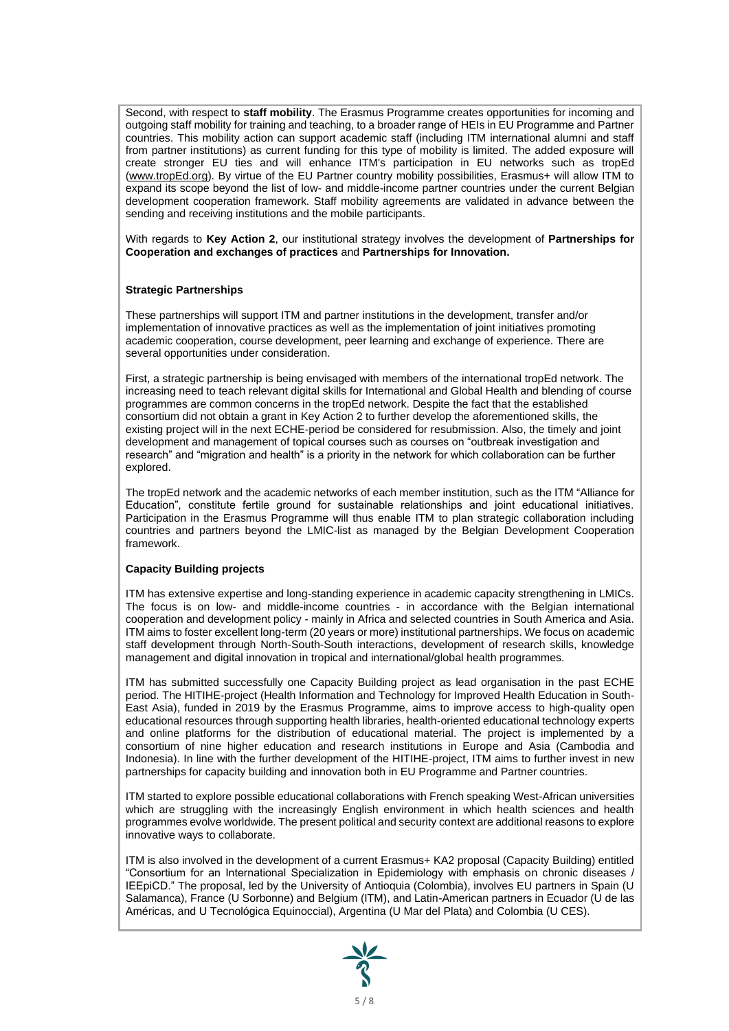Second, with respect to **staff mobility**. The Erasmus Programme creates opportunities for incoming and outgoing staff mobility for training and teaching, to a broader range of HEIs in EU Programme and Partner countries. This mobility action can support academic staff (including ITM international alumni and staff from partner institutions) as current funding for this type of mobility is limited. The added exposure will create stronger EU ties and will enhance ITM's participation in EU networks such as tropEd [\(www.tropEd.org\)](http://www.troped.org/). By virtue of the EU Partner country mobility possibilities, Erasmus+ will allow ITM to expand its scope beyond the list of low- and middle-income partner countries under the current Belgian development cooperation framework. Staff mobility agreements are validated in advance between the sending and receiving institutions and the mobile participants.

With regards to **Key Action 2**, our institutional strategy involves the development of **Partnerships for Cooperation and exchanges of practices** and **Partnerships for Innovation.**

## **Strategic Partnerships**

These partnerships will support ITM and partner institutions in the development, transfer and/or implementation of innovative practices as well as the implementation of joint initiatives promoting academic cooperation, course development, peer learning and exchange of experience. There are several opportunities under consideration.

First, a strategic partnership is being envisaged with members of the international tropEd network. The increasing need to teach relevant digital skills for International and Global Health and blending of course programmes are common concerns in the tropEd network. Despite the fact that the established consortium did not obtain a grant in Key Action 2 to further develop the aforementioned skills, the existing project will in the next ECHE-period be considered for resubmission. Also, the timely and joint development and management of topical courses such as courses on "outbreak investigation and research" and "migration and health" is a priority in the network for which collaboration can be further explored.

The tropEd network and the academic networks of each member institution, such as the ITM "Alliance for Education", constitute fertile ground for sustainable relationships and joint educational initiatives. Participation in the Erasmus Programme will thus enable ITM to plan strategic collaboration including countries and partners beyond the LMIC-list as managed by the Belgian Development Cooperation framework.

## **Capacity Building projects**

ITM has extensive expertise and long-standing experience in academic capacity strengthening in LMICs. The focus is on low- and middle-income countries - in accordance with the Belgian international cooperation and development policy - mainly in Africa and selected countries in South America and Asia. ITM aims to foster excellent long-term (20 years or more) institutional partnerships. We focus on academic staff development through North-South-South interactions, development of research skills, knowledge management and digital innovation in tropical and international/global health programmes.

ITM has submitted successfully one Capacity Building project as lead organisation in the past ECHE period. The HITIHE-project (Health Information and Technology for Improved Health Education in South-East Asia), funded in 2019 by the Erasmus Programme, aims to improve access to high-quality open educational resources through supporting health libraries, health-oriented educational technology experts and online platforms for the distribution of educational material. The project is implemented by a consortium of nine higher education and research institutions in Europe and Asia (Cambodia and Indonesia). In line with the further development of the HITIHE-project, ITM aims to further invest in new partnerships for capacity building and innovation both in EU Programme and Partner countries.

ITM started to explore possible educational collaborations with French speaking West-African universities which are struggling with the increasingly English environment in which health sciences and health programmes evolve worldwide. The present political and security context are additional reasons to explore innovative ways to collaborate.

ITM is also involved in the development of a current Erasmus+ KA2 proposal (Capacity Building) entitled "Consortium for an International Specialization in Epidemiology with emphasis on chronic diseases / IEEpiCD." The proposal, led by the University of Antioquia (Colombia), involves EU partners in Spain (U Salamanca), France (U Sorbonne) and Belgium (ITM), and Latin-American partners in Ecuador (U de las Américas, and U Tecnológica Equinoccial), Argentina (U Mar del Plata) and Colombia (U CES).

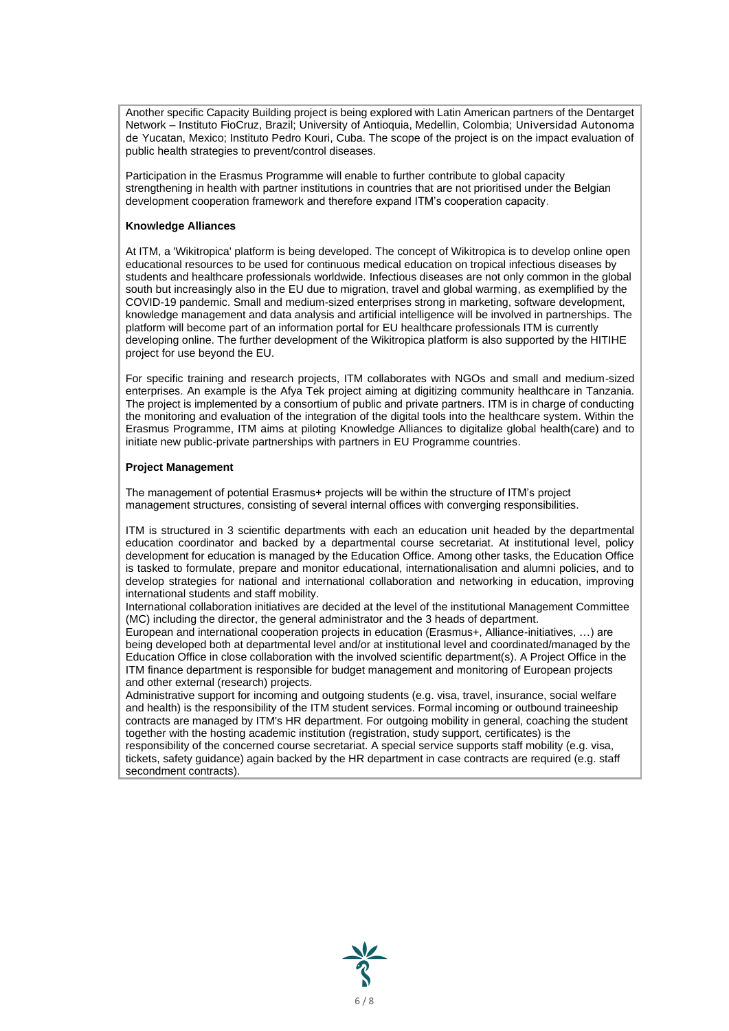Another specific Capacity Building project is being explored with Latin American partners of the Dentarget Network – Instituto FioCruz, Brazil; University of Antioquia, Medellin, Colombia; Universidad Autonoma de Yucatan, Mexico; Instituto Pedro Kouri, Cuba. The scope of the project is on the impact evaluation of public health strategies to prevent/control diseases.

Participation in the Erasmus Programme will enable to further contribute to global capacity strengthening in health with partner institutions in countries that are not prioritised under the Belgian development cooperation framework and therefore expand ITM's cooperation capacity.

## **Knowledge Alliances**

At ITM, a 'Wikitropica' platform is being developed. The concept of Wikitropica is to develop online open educational resources to be used for continuous medical education on tropical infectious diseases by students and healthcare professionals worldwide. Infectious diseases are not only common in the global south but increasingly also in the EU due to migration, travel and global warming, as exemplified by the COVID-19 pandemic. Small and medium-sized enterprises strong in marketing, software development, knowledge management and data analysis and artificial intelligence will be involved in partnerships. The platform will become part of an information portal for EU healthcare professionals ITM is currently developing online. The further development of the Wikitropica platform is also supported by the HITIHE project for use beyond the EU.

For specific training and research projects, ITM collaborates with NGOs and small and medium-sized enterprises. An example is the Afya Tek project aiming at digitizing community healthcare in Tanzania. The project is implemented by a consortium of public and private partners. ITM is in charge of conducting the monitoring and evaluation of the integration of the digital tools into the healthcare system. Within the Erasmus Programme, ITM aims at piloting Knowledge Alliances to digitalize global health(care) and to initiate new public-private partnerships with partners in EU Programme countries.

## **Project Management**

The management of potential Erasmus+ projects will be within the structure of ITM's project management structures, consisting of several internal offices with converging responsibilities.

ITM is structured in 3 scientific departments with each an education unit headed by the departmental education coordinator and backed by a departmental course secretariat. At institutional level, policy development for education is managed by the Education Office. Among other tasks, the Education Office is tasked to formulate, prepare and monitor educational, internationalisation and alumni policies, and to develop strategies for national and international collaboration and networking in education, improving international students and staff mobility.

International collaboration initiatives are decided at the level of the institutional Management Committee (MC) including the director, the general administrator and the 3 heads of department.

European and international cooperation projects in education (Erasmus+, Alliance-initiatives, …) are being developed both at departmental level and/or at institutional level and coordinated/managed by the Education Office in close collaboration with the involved scientific department(s). A Project Office in the ITM finance department is responsible for budget management and monitoring of European projects and other external (research) projects.

Administrative support for incoming and outgoing students (e.g. visa, travel, insurance, social welfare and health) is the responsibility of the ITM student services. Formal incoming or outbound traineeship contracts are managed by ITM's HR department. For outgoing mobility in general, coaching the student together with the hosting academic institution (registration, study support, certificates) is the responsibility of the concerned course secretariat. A special service supports staff mobility (e.g. visa, tickets, safety guidance) again backed by the HR department in case contracts are required (e.g. staff secondment contracts).

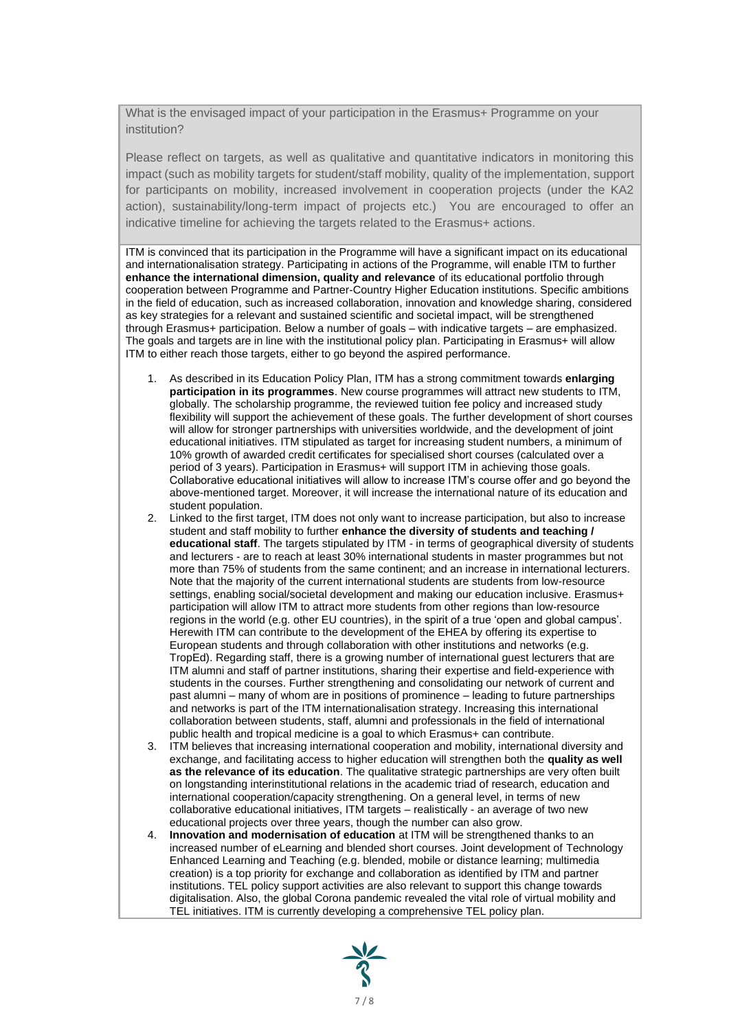What is the envisaged impact of your participation in the Erasmus+ Programme on your institution?

Please reflect on targets, as well as qualitative and quantitative indicators in monitoring this impact (such as mobility targets for student/staff mobility, quality of the implementation, support for participants on mobility, increased involvement in cooperation projects (under the KA2 action), sustainability/long-term impact of projects etc.) You are encouraged to offer an indicative timeline for achieving the targets related to the Erasmus+ actions.

ITM is convinced that its participation in the Programme will have a significant impact on its educational and internationalisation strategy. Participating in actions of the Programme, will enable ITM to further **enhance the international dimension, quality and relevance** of its educational portfolio through cooperation between Programme and Partner-Country Higher Education institutions. Specific ambitions in the field of education, such as increased collaboration, innovation and knowledge sharing, considered as key strategies for a relevant and sustained scientific and societal impact, will be strengthened through Erasmus+ participation. Below a number of goals – with indicative targets – are emphasized. The goals and targets are in line with the institutional policy plan. Participating in Erasmus+ will allow ITM to either reach those targets, either to go beyond the aspired performance.

- 1. As described in its Education Policy Plan, ITM has a strong commitment towards **enlarging participation in its programmes**. New course programmes will attract new students to ITM, globally. The scholarship programme, the reviewed tuition fee policy and increased study flexibility will support the achievement of these goals. The further development of short courses will allow for stronger partnerships with universities worldwide, and the development of joint educational initiatives. ITM stipulated as target for increasing student numbers, a minimum of 10% growth of awarded credit certificates for specialised short courses (calculated over a period of 3 years). Participation in Erasmus+ will support ITM in achieving those goals. Collaborative educational initiatives will allow to increase ITM's course offer and go beyond the above-mentioned target. Moreover, it will increase the international nature of its education and student population.
- 2. Linked to the first target, ITM does not only want to increase participation, but also to increase student and staff mobility to further **enhance the diversity of students and teaching / educational staff**. The targets stipulated by ITM - in terms of geographical diversity of students and lecturers - are to reach at least 30% international students in master programmes but not more than 75% of students from the same continent; and an increase in international lecturers. Note that the majority of the current international students are students from low-resource settings, enabling social/societal development and making our education inclusive. Erasmus+ participation will allow ITM to attract more students from other regions than low-resource regions in the world (e.g. other EU countries), in the spirit of a true 'open and global campus'. Herewith ITM can contribute to the development of the EHEA by offering its expertise to European students and through collaboration with other institutions and networks (e.g. TropEd). Regarding staff, there is a growing number of international guest lecturers that are ITM alumni and staff of partner institutions, sharing their expertise and field-experience with students in the courses. Further strengthening and consolidating our network of current and past alumni – many of whom are in positions of prominence – leading to future partnerships and networks is part of the ITM internationalisation strategy. Increasing this international collaboration between students, staff, alumni and professionals in the field of international public health and tropical medicine is a goal to which Erasmus+ can contribute.
- 3. ITM believes that increasing international cooperation and mobility, international diversity and exchange, and facilitating access to higher education will strengthen both the **quality as well as the relevance of its education**. The qualitative strategic partnerships are very often built on longstanding interinstitutional relations in the academic triad of research, education and international cooperation/capacity strengthening. On a general level, in terms of new collaborative educational initiatives, ITM targets – realistically - an average of two new educational projects over three years, though the number can also grow.
- 4. **Innovation and modernisation of education** at ITM will be strengthened thanks to an increased number of eLearning and blended short courses. Joint development of Technology Enhanced Learning and Teaching (e.g. blended, mobile or distance learning; multimedia creation) is a top priority for exchange and collaboration as identified by ITM and partner institutions. TEL policy support activities are also relevant to support this change towards digitalisation. Also, the global Corona pandemic revealed the vital role of virtual mobility and TEL initiatives. ITM is currently developing a comprehensive TEL policy plan.